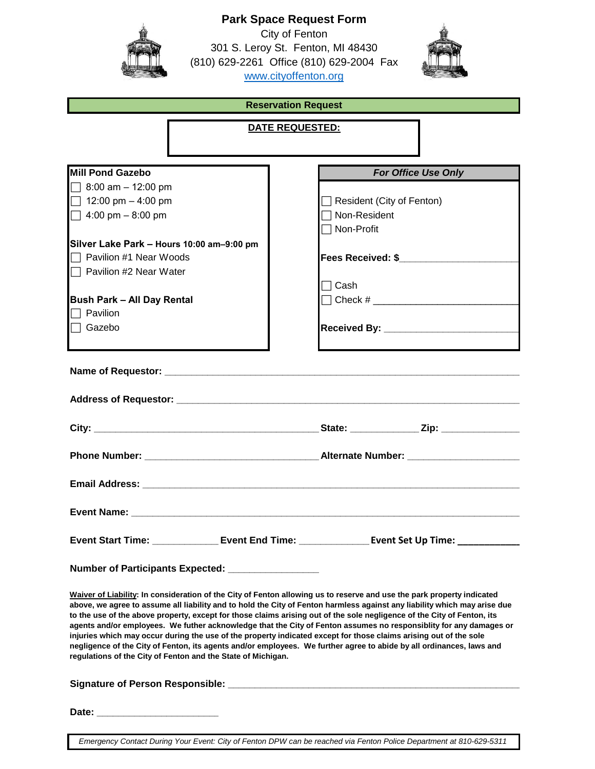|                                                              | <b>Park Space Request Form</b>                                                                                                                                                                                                                |
|--------------------------------------------------------------|-----------------------------------------------------------------------------------------------------------------------------------------------------------------------------------------------------------------------------------------------|
|                                                              | City of Fenton                                                                                                                                                                                                                                |
|                                                              | 301 S. Leroy St. Fenton, MI 48430                                                                                                                                                                                                             |
|                                                              | (810) 629-2261 Office (810) 629-2004 Fax                                                                                                                                                                                                      |
|                                                              | www.cityoffenton.org                                                                                                                                                                                                                          |
|                                                              |                                                                                                                                                                                                                                               |
|                                                              | <b>Reservation Request</b>                                                                                                                                                                                                                    |
|                                                              | DATE REQUESTED:                                                                                                                                                                                                                               |
|                                                              |                                                                                                                                                                                                                                               |
|                                                              |                                                                                                                                                                                                                                               |
|                                                              |                                                                                                                                                                                                                                               |
| <b>Mill Pond Gazebo</b>                                      | <b>For Office Use Only</b>                                                                                                                                                                                                                    |
| $\Box$ 8:00 am - 12:00 pm                                    |                                                                                                                                                                                                                                               |
| 12:00 pm $-$ 4:00 pm                                         | $\Box$ Resident (City of Fenton)                                                                                                                                                                                                              |
| $\Box$ 4:00 pm – 8:00 pm                                     | □ Non-Resident                                                                                                                                                                                                                                |
|                                                              | $\Box$ Non-Profit                                                                                                                                                                                                                             |
| Silver Lake Park - Hours 10:00 am-9:00 pm                    |                                                                                                                                                                                                                                               |
| $\Box$ Pavilion #1 Near Woods                                | Fees Received: \$                                                                                                                                                                                                                             |
| $\Box$ Pavilion #2 Near Water                                |                                                                                                                                                                                                                                               |
|                                                              | $\sqcap$ Cash                                                                                                                                                                                                                                 |
| <b>Bush Park - All Day Rental</b>                            |                                                                                                                                                                                                                                               |
| $\sqcap$ Pavilion                                            |                                                                                                                                                                                                                                               |
| □ Gazebo                                                     |                                                                                                                                                                                                                                               |
|                                                              |                                                                                                                                                                                                                                               |
|                                                              |                                                                                                                                                                                                                                               |
|                                                              |                                                                                                                                                                                                                                               |
|                                                              |                                                                                                                                                                                                                                               |
|                                                              |                                                                                                                                                                                                                                               |
|                                                              |                                                                                                                                                                                                                                               |
|                                                              |                                                                                                                                                                                                                                               |
|                                                              |                                                                                                                                                                                                                                               |
|                                                              | Phone Number: __________________________________Alternate Number: ______________                                                                                                                                                              |
|                                                              |                                                                                                                                                                                                                                               |
|                                                              |                                                                                                                                                                                                                                               |
|                                                              |                                                                                                                                                                                                                                               |
|                                                              |                                                                                                                                                                                                                                               |
|                                                              |                                                                                                                                                                                                                                               |
|                                                              |                                                                                                                                                                                                                                               |
|                                                              | Event Start Time: _____________________ Event End Time: _________________________ Event Set Up Time: _________                                                                                                                                |
|                                                              |                                                                                                                                                                                                                                               |
|                                                              |                                                                                                                                                                                                                                               |
| Number of Participants Expected: _________________           |                                                                                                                                                                                                                                               |
|                                                              |                                                                                                                                                                                                                                               |
|                                                              | Waiver of Liability: In consideration of the City of Fenton allowing us to reserve and use the park property indicated                                                                                                                        |
|                                                              | above, we agree to assume all liability and to hold the City of Fenton harmless against any liability which may arise due                                                                                                                     |
|                                                              | to the use of the above property, except for those claims arising out of the sole negligence of the City of Fenton, its<br>agents and/or employees. We futher acknowledge that the City of Fenton assumes no responsiblity for any damages or |
|                                                              | injuries which may occur during the use of the property indicated except for those claims arising out of the sole                                                                                                                             |
|                                                              | negligence of the City of Fenton, its agents and/or employees. We further agree to abide by all ordinances, laws and                                                                                                                          |
| regulations of the City of Fenton and the State of Michigan. |                                                                                                                                                                                                                                               |
|                                                              |                                                                                                                                                                                                                                               |
|                                                              |                                                                                                                                                                                                                                               |
|                                                              |                                                                                                                                                                                                                                               |

*Emergency Contact During Your Event: City of Fenton DPW can be reached via Fenton Police Department at 810-629-5311*